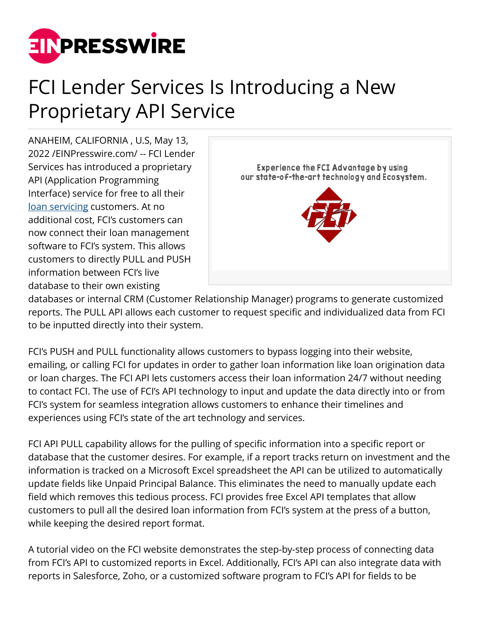

## FCI Lender Services Is Introducing a New Proprietary API Service

ANAHEIM, CALIFORNIA , U.S, May 13, 2022 /[EINPresswire.com](http://www.einpresswire.com)/ -- FCI Lender Services has introduced a proprietary API (Application Programming Interface) service for free to all their [loan servicing](https://myfci.com/LoanServicing.html) customers. At no additional cost, FCI's customers can now connect their loan management software to FCI's system. This allows customers to directly PULL and PUSH information between FCI's live database to their own existing



databases or internal CRM (Customer Relationship Manager) programs to generate customized reports. The PULL API allows each customer to request specific and individualized data from FCI to be inputted directly into their system.

FCI's PUSH and PULL functionality allows customers to bypass logging into their website, emailing, or calling FCI for updates in order to gather loan information like loan origination data or loan charges. The FCI API lets customers access their loan information 24/7 without needing to contact FCI. The use of FCI's API technology to input and update the data directly into or from FCI's system for seamless integration allows customers to enhance their timelines and experiences using FCI's state of the art technology and services.

FCI API PULL capability allows for the pulling of specific information into a specific report or database that the customer desires. For example, if a report tracks return on investment and the information is tracked on a Microsoft Excel spreadsheet the API can be utilized to automatically update fields like Unpaid Principal Balance. This eliminates the need to manually update each field which removes this tedious process. FCI provides free Excel API templates that allow customers to pull all the desired loan information from FCI's system at the press of a button, while keeping the desired report format.

A tutorial video on the FCI website demonstrates the step-by-step process of connecting data from FCI's API to customized reports in Excel. Additionally, FCI's API can also integrate data with reports in Salesforce, Zoho, or a customized software program to FCI's API for fields to be